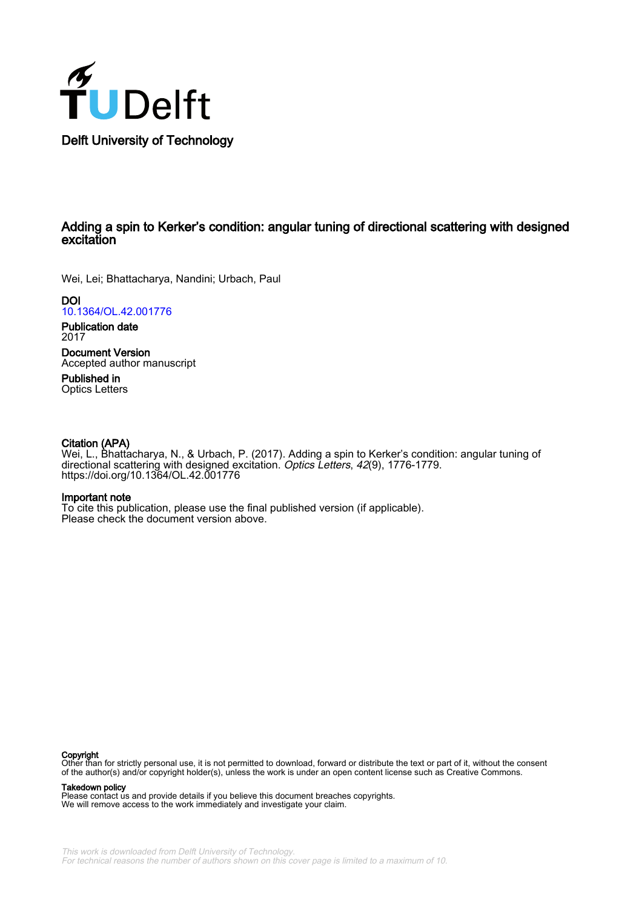

## Adding a spin to Kerker's condition: angular tuning of directional scattering with designed excitation

Wei, Lei; Bhattacharya, Nandini; Urbach, Paul

**DOI** [10.1364/OL.42.001776](https://doi.org/10.1364/OL.42.001776)

Publication date 2017

Document Version Accepted author manuscript

Published in Optics Letters

## Citation (APA)

Wei, L., Bhattacharya, N., & Urbach, P. (2017). Adding a spin to Kerker's condition: angular tuning of directional scattering with designed excitation. Optics Letters, 42(9), 1776-1779. <https://doi.org/10.1364/OL.42.001776>

### Important note

To cite this publication, please use the final published version (if applicable). Please check the document version above.

#### Copyright

Other than for strictly personal use, it is not permitted to download, forward or distribute the text or part of it, without the consent of the author(s) and/or copyright holder(s), unless the work is under an open content license such as Creative Commons.

#### Takedown policy

Please contact us and provide details if you believe this document breaches copyrights. We will remove access to the work immediately and investigate your claim.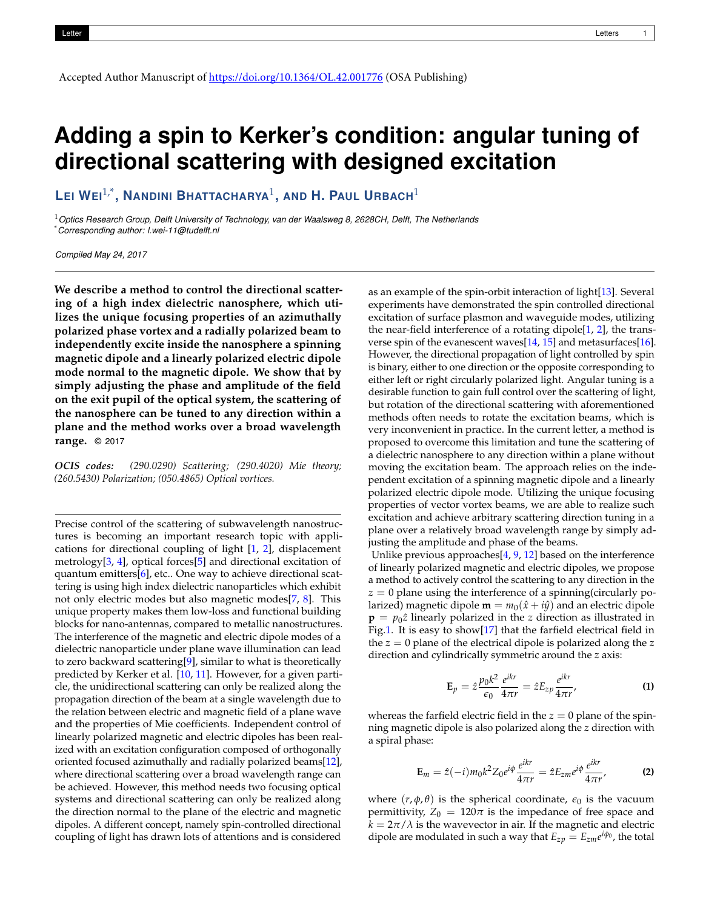Accepted Author Manuscript of https://doi.org/10.1364/OL.42.001776 (OSA Publishing)

# **Adding a spin to Kerker's condition: angular tuning of directional scattering with designed excitation**

**LEI WEI**1,\***, NANDINI BHATTACHARYA**<sup>1</sup> **, AND H. PAUL URBACH**<sup>1</sup>

<sup>1</sup>*Optics Research Group, Delft University of Technology, van der Waalsweg 8, 2628CH, Delft, The Netherlands* \**Corresponding author: l.wei-11@tudelft.nl*

*Compiled May 24, 2017*

**We describe a method to control the directional scattering of a high index dielectric nanosphere, which utilizes the unique focusing properties of an azimuthally polarized phase vortex and a radially polarized beam to independently excite inside the nanosphere a spinning magnetic dipole and a linearly polarized electric dipole mode normal to the magnetic dipole. We show that by simply adjusting the phase and amplitude of the field on the exit pupil of the optical system, the scattering of the nanosphere can be tuned to any direction within a plane and the method works over a broad wavelength range.** © 2017

*OCIS codes: (290.0290) Scattering; (290.4020) Mie theory; (260.5430) Polarization; (050.4865) Optical vortices.*

Precise control of the scattering of subwavelength nanostructures is becoming an important research topic with applications for directional coupling of light [\[1,](#page-4-0) [2\]](#page-4-1), displacement metrology[\[3,](#page-4-2) [4\]](#page-4-3), optical forces[\[5\]](#page-4-4) and directional excitation of quantum emitters[\[6\]](#page-4-5), etc.. One way to achieve directional scattering is using high index dielectric nanoparticles which exhibit not only electric modes but also magnetic modes[\[7,](#page-4-6) [8\]](#page-4-7). This unique property makes them low-loss and functional building blocks for nano-antennas, compared to metallic nanostructures. The interference of the magnetic and electric dipole modes of a dielectric nanoparticle under plane wave illumination can lead to zero backward scattering[\[9\]](#page-4-8), similar to what is theoretically predicted by Kerker et al. [\[10,](#page-4-9) [11\]](#page-4-10). However, for a given particle, the unidirectional scattering can only be realized along the propagation direction of the beam at a single wavelength due to the relation between electric and magnetic field of a plane wave and the properties of Mie coefficients. Independent control of linearly polarized magnetic and electric dipoles has been realized with an excitation configuration composed of orthogonally oriented focused azimuthally and radially polarized beams[\[12\]](#page-4-11), where directional scattering over a broad wavelength range can be achieved. However, this method needs two focusing optical systems and directional scattering can only be realized along the direction normal to the plane of the electric and magnetic dipoles. A different concept, namely spin-controlled directional coupling of light has drawn lots of attentions and is considered

as an example of the spin-orbit interaction of light[\[13\]](#page-4-12). Several experiments have demonstrated the spin controlled directional excitation of surface plasmon and waveguide modes, utilizing the near-field interference of a rotating dipole[\[1,](#page-4-0) [2\]](#page-4-1), the transverse spin of the evanescent waves  $[14, 15]$  $[14, 15]$  $[14, 15]$  and metasurfaces  $[16]$ . However, the directional propagation of light controlled by spin is binary, either to one direction or the opposite corresponding to either left or right circularly polarized light. Angular tuning is a desirable function to gain full control over the scattering of light, but rotation of the directional scattering with aforementioned methods often needs to rotate the excitation beams, which is very inconvenient in practice. In the current letter, a method is proposed to overcome this limitation and tune the scattering of a dielectric nanosphere to any direction within a plane without moving the excitation beam. The approach relies on the independent excitation of a spinning magnetic dipole and a linearly polarized electric dipole mode. Utilizing the unique focusing properties of vector vortex beams, we are able to realize such excitation and achieve arbitrary scattering direction tuning in a plane over a relatively broad wavelength range by simply adjusting the amplitude and phase of the beams.

Unlike previous approaches[\[4,](#page-4-3) [9,](#page-4-8) [12\]](#page-4-11) based on the interference of linearly polarized magnetic and electric dipoles, we propose a method to actively control the scattering to any direction in the  $z = 0$  plane using the interference of a spinning (circularly polarized) magnetic dipole  $\mathbf{m} = m_0(\hat{x} + i\hat{y})$  and an electric dipole  $\mathbf{p} = p_0 \hat{z}$  linearly polarized in the *z* direction as illustrated in Fig[.1.](#page-2-0) It is easy to show[\[17\]](#page-4-16) that the farfield electrical field in the *z* = 0 plane of the electrical dipole is polarized along the *z* direction and cylindrically symmetric around the *z* axis:

<span id="page-1-0"></span>
$$
\mathbf{E}_p = \hat{z} \frac{p_0 k^2}{\epsilon_0} \frac{e^{ikr}}{4\pi r} = \hat{z} E_{zp} \frac{e^{ikr}}{4\pi r},
$$
 (1)

whereas the farfield electric field in the  $z = 0$  plane of the spinning magnetic dipole is also polarized along the *z* direction with a spiral phase:

<span id="page-1-1"></span>
$$
\mathbf{E}_m = \hat{z}(-i)m_0k^2 Z_0 e^{i\phi} \frac{e^{ikr}}{4\pi r} = \hat{z} E_{zm} e^{i\phi} \frac{e^{ikr}}{4\pi r},
$$
 (2)

where  $(r, \phi, \theta)$  is the spherical coordinate,  $\epsilon_0$  is the vacuum permittivity,  $Z_0 = 120\pi$  is the impedance of free space and  $k = 2\pi/\lambda$  is the wavevector in air. If the magnetic and electric dipole are modulated in such a way that  $E_{zp} = E_{zm}e^{i\phi_0}$ , the total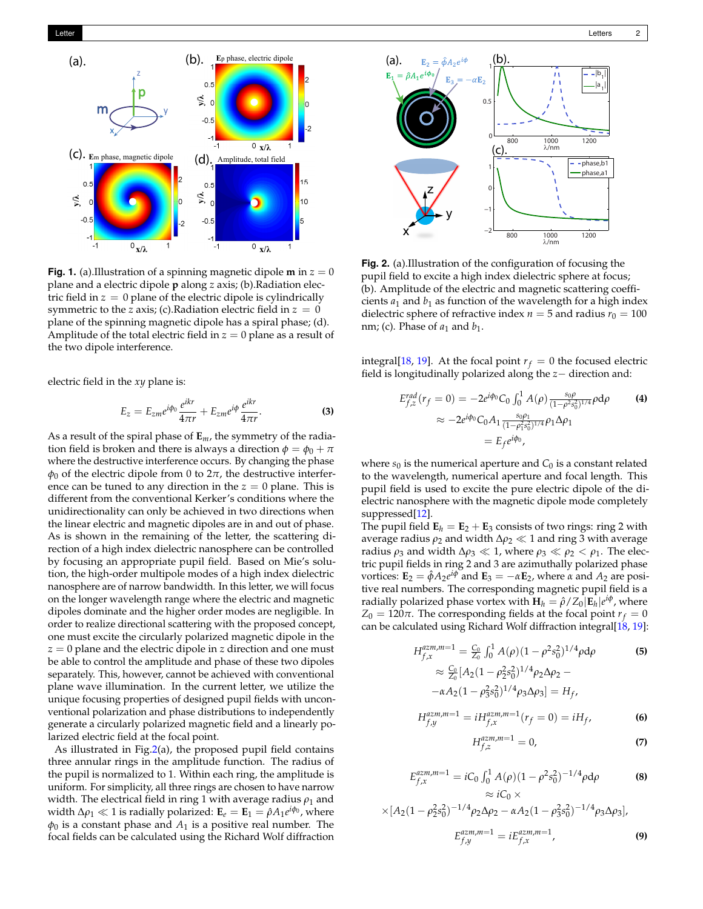<span id="page-2-0"></span>

**Fig. 1.** (a).Illustration of a spinning magnetic dipole **m** in  $z = 0$ plane and a electric dipole **p** along *z* axis; (b).Radiation electric field in  $z = 0$  plane of the electric dipole is cylindrically symmetric to the *z* axis; (c). Radiation electric field in  $z = 0$ plane of the spinning magnetic dipole has a spiral phase; (d). Amplitude of the total electric field in  $z = 0$  plane as a result of the two dipole interference.

electric field in the *xy* plane is:

$$
E_z = E_{zm} e^{i\phi_0} \frac{e^{ikr}}{4\pi r} + E_{zm} e^{i\phi} \frac{e^{ikr}}{4\pi r}.
$$
 (3)

As a result of the spiral phase of **E***m*, the symmetry of the radiation field is broken and there is always a direction  $\phi = \phi_0 + \pi$ where the destructive interference occurs. By changing the phase  $\phi_0$  of the electric dipole from 0 to 2 $\pi$ , the destructive interference can be tuned to any direction in the  $z = 0$  plane. This is different from the conventional Kerker's conditions where the unidirectionality can only be achieved in two directions when the linear electric and magnetic dipoles are in and out of phase. As is shown in the remaining of the letter, the scattering direction of a high index dielectric nanosphere can be controlled by focusing an appropriate pupil field. Based on Mie's solution, the high-order multipole modes of a high index dielectric nanosphere are of narrow bandwidth. In this letter, we will focus on the longer wavelength range where the electric and magnetic dipoles dominate and the higher order modes are negligible. In order to realize directional scattering with the proposed concept, one must excite the circularly polarized magnetic dipole in the *z* = 0 plane and the electric dipole in *z* direction and one must be able to control the amplitude and phase of these two dipoles separately. This, however, cannot be achieved with conventional plane wave illumination. In the current letter, we utilize the unique focusing properties of designed pupil fields with unconventional polarization and phase distributions to independently generate a circularly polarized magnetic field and a linearly polarized electric field at the focal point.

As illustrated in Fig[.2\(](#page-2-1)a), the proposed pupil field contains three annular rings in the amplitude function. The radius of the pupil is normalized to 1. Within each ring, the amplitude is uniform. For simplicity, all three rings are chosen to have narrow width. The electrical field in ring 1 with average radius  $\rho_1$  and width  $\Delta \rho_1 \ll 1$  is radially polarized:  $\mathbf{E}_e = \mathbf{E}_1 = \hat{\rho} A_1 e^{i\phi_0}$ , where  $\phi_0$  is a constant phase and  $A_1$  is a positive real number. The focal fields can be calculated using the Richard Wolf diffraction

<span id="page-2-1"></span>

**Fig. 2.** (a).Illustration of the configuration of focusing the pupil field to excite a high index dielectric sphere at focus; (b). Amplitude of the electric and magnetic scattering coefficients  $a_1$  and  $b_1$  as function of the wavelength for a high index dielectric sphere of refractive index  $n = 5$  and radius  $r_0 = 100$ nm; (c). Phase of  $a_1$  and  $b_1$ .

integral<sup>[18]</sup>. At the focal point  $r_f = 0$  the focused electric field is longitudinally polarized along the *z*− direction and:

$$
E_{f,z}^{rad}(r_f = 0) = -2e^{i\phi_0}C_0 \int_0^1 A(\rho) \frac{s_0 \rho}{(1 - \rho^2 s_0^2)^{1/4}} \rho d\rho
$$
  
\n
$$
\approx -2e^{i\phi_0}C_0 A_1 \frac{s_0 \rho_1}{(1 - \rho_1^2 s_0^2)^{1/4}} \rho_1 \Delta \rho_1
$$
  
\n
$$
= E_f e^{i\phi_0},
$$
 (4)

where  $s_0$  is the numerical aperture and  $C_0$  is a constant related to the wavelength, numerical aperture and focal length. This pupil field is used to excite the pure electric dipole of the dielectric nanosphere with the magnetic dipole mode completely suppressed[\[12\]](#page-4-11).

The pupil field  $\mathbf{E}_h = \mathbf{E}_2 + \mathbf{E}_3$  consists of two rings: ring 2 with average radius  $ρ_2$  and width  $Δρ_2 \ll 1$  and ring 3 with average radius  $\rho_3$  and width  $\Delta \rho_3 \ll 1$ , where  $\rho_3 \ll \rho_2 < \rho_1$ . The electric pupil fields in ring 2 and 3 are azimuthally polarized phase vortices:  $\mathbf{E}_2 = \hat{\phi} A_2 e^{i\phi}$  and  $\mathbf{E}_3 = -\alpha \mathbf{E}_2$ , where  $\alpha$  and  $A_2$  are positive real numbers. The corresponding magnetic pupil field is a radially polarized phase vortex with  $\mathbf{H}_h = \hat{\rho} / Z_0 |\mathbf{E}_h| e^{i\phi}$ , where  $Z_0 = 120\pi$ . The corresponding fields at the focal point  $r_f = 0$ can be calculated using Richard Wolf diffraction integral[\[18,](#page-4-17) [19\]](#page-4-18):

<span id="page-2-2"></span>
$$
H_{f,x}^{azm,m=1} = \frac{C_0}{Z_0} \int_0^1 A(\rho) (1 - \rho^2 s_0^2)^{1/4} \rho d\rho
$$
  
\n
$$
\approx \frac{C_0}{Z_0} [A_2 (1 - \rho_2^2 s_0^2)^{1/4} \rho_2 \Delta \rho_2 -
$$
  
\n
$$
- \alpha A_2 (1 - \rho_3^2 s_0^2)^{1/4} \rho_3 \Delta \rho_3] = H_f,
$$
\n(5)

$$
H_{f,y}^{azm,m=1} = iH_{f,x}^{azm,m=1}(r_f = 0) = iH_f,
$$
 (6)

$$
H_{f,z}^{azm,m=1} = 0,\t\t(7)
$$

$$
E_{f,x}^{azm,m=1} = iC_0 \int_0^1 A(\rho)(1 - \rho^2 s_0^2)^{-1/4} \rho d\rho \qquad (8)
$$
  
  $\approx iC_0 \times$ 

$$
\times [A_2(1 - \rho_2^2 s_0^2)^{-1/4} \rho_2 \Delta \rho_2 - \alpha A_2 (1 - \rho_3^2 s_0^2)^{-1/4} \rho_3 \Delta \rho_3],
$$
  

$$
E_{f,y}^{azm,m=1} = i E_{f,x}^{azm,m=1},
$$
 (9)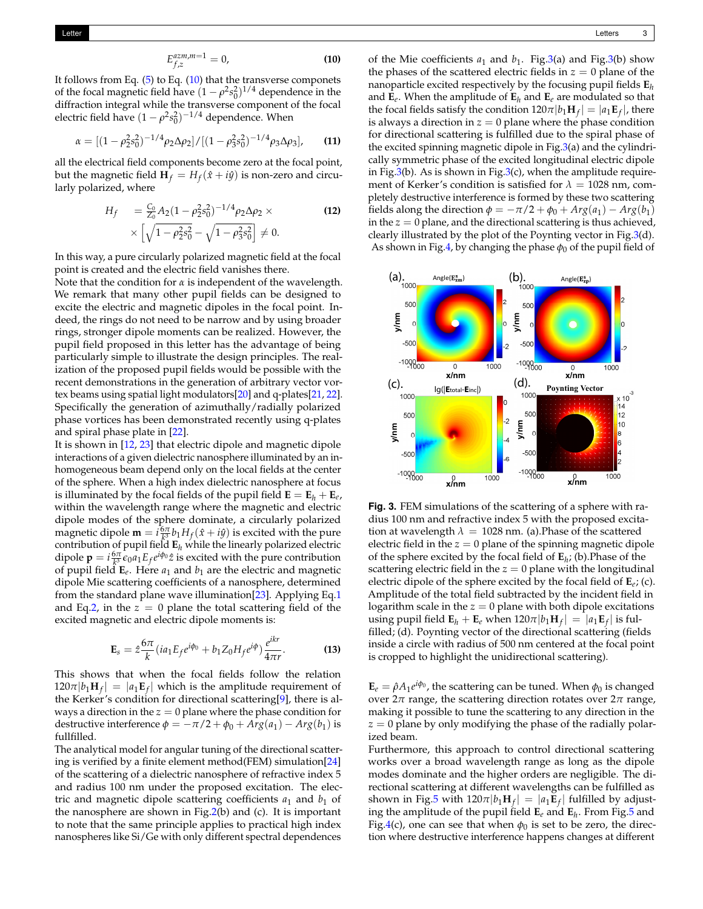<span id="page-3-0"></span>
$$
E_{f,z}^{azm,m=1} = 0,\t\t(10)
$$

It follows from Eq.  $(5)$  to Eq.  $(10)$  that the transverse componets of the focal magnetic field have  $(1 - \rho^2 s_0^2)^{1/4}$  dependence in the diffraction integral while the transverse component of the focal electric field have  $(1 - \rho^2 s_0^2)^{-1/4}$  dependence. When

$$
\alpha = \left[ (1 - \rho_2^2 s_0^2)^{-1/4} \rho_2 \Delta \rho_2 \right] / \left[ (1 - \rho_3^2 s_0^2)^{-1/4} \rho_3 \Delta \rho_3 \right], \tag{11}
$$

all the electrical field components become zero at the focal point, but the magnetic field  $\mathbf{H}_f = H_f(\hat{x} + i\hat{y})$  is non-zero and circularly polarized, where

$$
H_f = \frac{C_0}{Z_0} A_2 (1 - \rho_2^2 s_0^2)^{-1/4} \rho_2 \Delta \rho_2 \times \times \left[ \sqrt{1 - \rho_2^2 s_0^2} - \sqrt{1 - \rho_3^2 s_0^2} \right] \neq 0.
$$
 (12)

In this way, a pure circularly polarized magnetic field at the focal point is created and the electric field vanishes there.

Note that the condition for *α* is independent of the wavelength. We remark that many other pupil fields can be designed to excite the electric and magnetic dipoles in the focal point. Indeed, the rings do not need to be narrow and by using broader rings, stronger dipole moments can be realized. However, the pupil field proposed in this letter has the advantage of being particularly simple to illustrate the design principles. The realization of the proposed pupil fields would be possible with the recent demonstrations in the generation of arbitrary vector vortex beams using spatial light modulators[\[20\]](#page-4-19) and q-plates[\[21,](#page-4-20) [22\]](#page-4-21). Specifically the generation of azimuthally/radially polarized phase vortices has been demonstrated recently using q-plates and spiral phase plate in [\[22\]](#page-4-21).

It is shown in [\[12,](#page-4-11) [23\]](#page-4-22) that electric dipole and magnetic dipole interactions of a given dielectric nanosphere illuminated by an inhomogeneous beam depend only on the local fields at the center of the sphere. When a high index dielectric nanosphere at focus is illuminated by the focal fields of the pupil field  $\mathbf{E} = \mathbf{E}_h + \mathbf{E}_e$ , within the wavelength range where the magnetic and electric dipole modes of the sphere dominate, a circularly polarized magnetic dipole  $\mathbf{m} = i \frac{\delta \pi}{k^3} b_1 H_f(\hat{x} + i\hat{y})$  is excited with the pure contribution of pupil field **E***<sup>h</sup>* while the linearly polarized electric dipole  $\mathbf{p} = i \frac{6\pi}{k^3} \epsilon_0 a_1 E_f e^{i\phi_0} \hat{z}$  is excited with the pure contribution of pupil field  $\mathbf{E}_e$ . Here  $a_1$  and  $b_1$  are the electric and magnetic dipole Mie scattering coefficients of a nanosphere, determined from the standard plane wave illumination[\[23\]](#page-4-22). Applying Eq[.1](#page-1-0) and Eq[.2,](#page-1-1) in the  $z = 0$  plane the total scattering field of the excited magnetic and electric dipole moments is:

$$
\mathbf{E}_s = \hat{z} \frac{6\pi}{k} (ia_1 E_f e^{i\phi_0} + b_1 Z_0 H_f e^{i\phi}) \frac{e^{ikr}}{4\pi r}.
$$
 (13)

This shows that when the focal fields follow the relation  $120\pi|b_1\mathbf{H}_f| = |a_1\mathbf{E}_f|$  which is the amplitude requirement of the Kerker's condition for directional scattering[\[9\]](#page-4-8), there is always a direction in the  $z = 0$  plane where the phase condition for destructive interference  $\phi = -\pi/2 + \phi_0 + Arg(a_1) - Arg(b_1)$  is fullfilled.

The analytical model for angular tuning of the directional scattering is verified by a finite element method(FEM) simulation[\[24\]](#page-4-23) of the scattering of a dielectric nanosphere of refractive index 5 and radius 100 nm under the proposed excitation. The electric and magnetic dipole scattering coefficients  $a_1$  and  $b_1$  of the nanosphere are shown in Fig[.2\(](#page-2-1)b) and (c). It is important to note that the same principle applies to practical high index nanospheres like Si/Ge with only different spectral dependences

of the Mie coefficients  $a_1$  and  $b_1$ . Fig[.3\(](#page-3-1)a) and Fig.3(b) show the phases of the scattered electric fields in  $z = 0$  plane of the nanoparticle excited respectively by the focusing pupil fields **E***<sup>h</sup>* and  $\mathbf{E}_e$ . When the amplitude of  $\mathbf{E}_h$  and  $\mathbf{E}_e$  are modulated so that the focal fields satisfy the condition  $120\pi |b_1\mathbf{H}_f| = |a_1\mathbf{E}_f|$ , there is always a direction in  $z = 0$  plane where the phase condition for directional scattering is fulfilled due to the spiral phase of the excited spinning magnetic dipole in Fig[.3\(](#page-3-1)a) and the cylindrically symmetric phase of the excited longitudinal electric dipole in Fig[.3\(](#page-3-1)b). As is shown in Fig.3(c), when the amplitude requirement of Kerker's condition is satisfied for  $\lambda = 1028$  nm, completely destructive interference is formed by these two scattering fields along the direction  $\phi = -\pi/2 + \phi_0 + Arg(a_1) - Arg(b_1)$ in the  $z = 0$  plane, and the directional scattering is thus achieved, clearly illustrated by the plot of the Poynting vector in Fig[.3\(](#page-3-1)d). As shown in Fig[.4,](#page-4-24) by changing the phase  $\phi_0$  of the pupil field of

<span id="page-3-1"></span>

**Fig. 3.** FEM simulations of the scattering of a sphere with radius 100 nm and refractive index 5 with the proposed excitation at wavelength  $\lambda = 1028$  nm. (a). Phase of the scattered electric field in the  $z = 0$  plane of the spinning magnetic dipole of the sphere excited by the focal field of **E***<sup>h</sup>* ; (b).Phase of the scattering electric field in the  $z = 0$  plane with the longitudinal electric dipole of the sphere excited by the focal field of **E***e*; (c). Amplitude of the total field subtracted by the incident field in logarithm scale in the  $z = 0$  plane with both dipole excitations using pupil field  $\mathbf{E}_h + \mathbf{E}_e$  when  $120\pi |b_1\mathbf{H}_f| = |a_1\mathbf{E}_f|$  is fulfilled; (d). Poynting vector of the directional scattering (fields inside a circle with radius of 500 nm centered at the focal point is cropped to highlight the unidirectional scattering).

 $\mathbf{E}_e = \hat{\rho} A_1 e^{i\phi_0}$ , the scattering can be tuned. When  $\phi_0$  is changed over  $2π$  range, the scattering direction rotates over  $2π$  range, making it possible to tune the scattering to any direction in the  $z = 0$  plane by only modifying the phase of the radially polarized beam.

Furthermore, this approach to control directional scattering works over a broad wavelength range as long as the dipole modes dominate and the higher orders are negligible. The directional scattering at different wavelengths can be fulfilled as shown in Fig[.5](#page-4-25) with  $120\pi |b_1\mathbf{H}_f| = |a_1\mathbf{E}_f|$  fulfilled by adjusting the amplitude of the pupil field **E***<sup>e</sup>* and **E***<sup>h</sup>* . From Fig[.5](#page-4-25) and Fig[.4\(](#page-4-24)c), one can see that when  $\phi_0$  is set to be zero, the direction where destructive interference happens changes at different